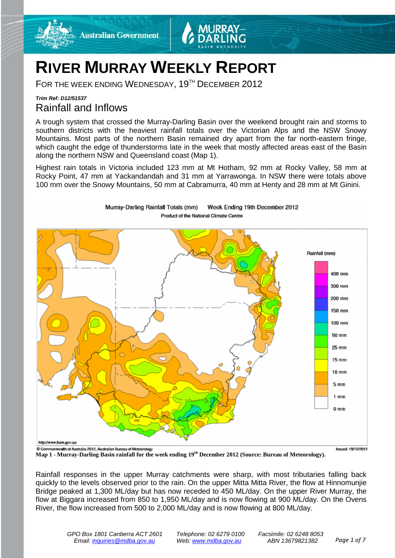

# **RIVER MURRAY WEEKLY REPORT**

FOR THE WEEK ENDING WEDNESDAY, 19<sup>TH</sup> DECEMBER 2012

Murray-Darling Rainfall Totals (mm)

### *Trim Ref: D12/51537* Rainfall and Inflows

A trough system that crossed the Murray-Darling Basin over the weekend brought rain and storms to southern districts with the heaviest rainfall totals over the Victorian Alps and the NSW Snowy Mountains. Most parts of the northern Basin remained dry apart from the far north-eastern fringe, which caught the edge of thunderstorms late in the week that mostly affected areas east of the Basin along the northern NSW and Queensland coast (Map 1).

Highest rain totals in Victoria included 123 mm at Mt Hotham, 92 mm at Rocky Valley, 58 mm at Rocky Point, 47 mm at Yackandandah and 31 mm at Yarrawonga. In NSW there were totals above 100 mm over the Snowy Mountains, 50 mm at Cabramurra, 40 mm at Henty and 28 mm at Mt Ginini.

Week Ending 19th December 2012



**Map 1 - Murray-Darling Basin rainfall for the week ending 19th December 2012 (Source: Bureau of Meteorology).**

Rainfall responses in the upper Murray catchments were sharp, with most tributaries falling back quickly to the levels observed prior to the rain. On the upper Mitta Mitta River, the flow at Hinnomunjie Bridge peaked at 1,300 ML/day but has now receded to 450 ML/day. On the upper River Murray, the flow at Biggara increased from 850 to 1,950 ML/day and is now flowing at 900 ML/day. On the Ovens River, the flow increased from 500 to 2,000 ML/day and is now flowing at 800 ML/day.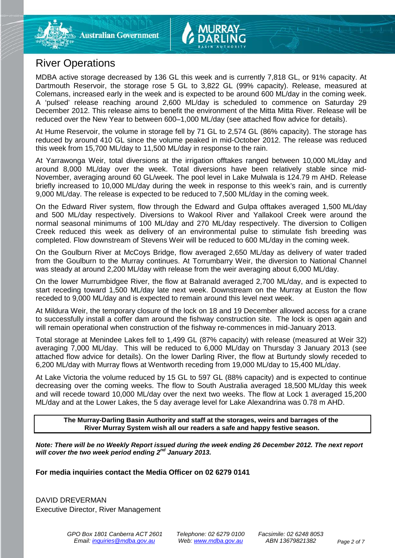## River Operations

MDBA active storage decreased by 136 GL this week and is currently 7,818 GL, or 91% capacity. At Dartmouth Reservoir, the storage rose 5 GL to 3,822 GL (99% capacity). Release, measured at Colemans, increased early in the week and is expected to be around 600 ML/day in the coming week. A 'pulsed' release reaching around 2,600 ML/day is scheduled to commence on Saturday 29 December 2012. This release aims to benefit the environment of the Mitta Mitta River. Release will be reduced over the New Year to between 600–1,000 ML/day (see attached flow advice for details).

At Hume Reservoir, the volume in storage fell by 71 GL to 2,574 GL (86% capacity). The storage has reduced by around 410 GL since the volume peaked in mid-October 2012. The release was reduced this week from 15,700 ML/day to 11,500 ML/day in response to the rain.

At Yarrawonga Weir, total diversions at the irrigation offtakes ranged between 10,000 ML/day and around 8,000 ML/day over the week. Total diversions have been relatively stable since mid-November, averaging around 60 GL/week. The pool level in Lake Mulwala is 124.79 m AHD. Release briefly increased to 10,000 ML/day during the week in response to this week's rain, and is currently 9,000 ML/day. The release is expected to be reduced to 7,500 ML/day in the coming week.

On the Edward River system, flow through the Edward and Gulpa offtakes averaged 1,500 ML/day and 500 ML/day respectively. Diversions to Wakool River and Yallakool Creek were around the normal seasonal minimums of 100 ML/day and 270 ML/day respectively. The diversion to Colligen Creek reduced this week as delivery of an environmental pulse to stimulate fish breeding was completed. Flow downstream of Stevens Weir will be reduced to 600 ML/day in the coming week.

On the Goulburn River at McCoys Bridge, flow averaged 2,650 ML/day as delivery of water traded from the Goulburn to the Murray continues. At Torrumbarry Weir, the diversion to National Channel was steady at around 2,200 ML/day with release from the weir averaging about 6,000 ML/day.

On the lower Murrumbidgee River, the flow at Balranald averaged 2,700 ML/day, and is expected to start receding toward 1,500 ML/day late next week. Downstream on the Murray at Euston the flow receded to 9,000 ML/day and is expected to remain around this level next week.

At Mildura Weir, the temporary closure of the lock on 18 and 19 December allowed access for a crane to successfully install a coffer dam around the fishway construction site. The lock is open again and will remain operational when construction of the fishway re-commences in mid-January 2013.

Total storage at Menindee Lakes fell to 1,499 GL (87% capacity) with release (measured at Weir 32) averaging 7,000 ML/day. This will be reduced to 6,000 ML/day on Thursday 3 January 2013 (see attached flow advice for details). On the lower Darling River, the flow at Burtundy slowly receded to 6,200 ML/day with Murray flows at Wentworth receding from 19,000 ML/day to 15,400 ML/day.

At Lake Victoria the volume reduced by 15 GL to 597 GL (88% capacity) and is expected to continue decreasing over the coming weeks. The flow to South Australia averaged 18,500 ML/day this week and will recede toward 10,000 ML/day over the next two weeks. The flow at Lock 1 averaged 15,200 ML/day and at the Lower Lakes, the 5 day average level for Lake Alexandrina was 0.78 m AHD.

**The Murray-Darling Basin Authority and staff at the storages, weirs and barrages of the River Murray System wish all our readers a safe and happy festive season.**

*Note: There will be no Weekly Report issued during the week ending 26 December 2012. The next report will cover the two week period ending 2nd January 2013.*

**For media inquiries contact the Media Officer on 02 6279 0141**

DAVID DREVERMAN Executive Director, River Management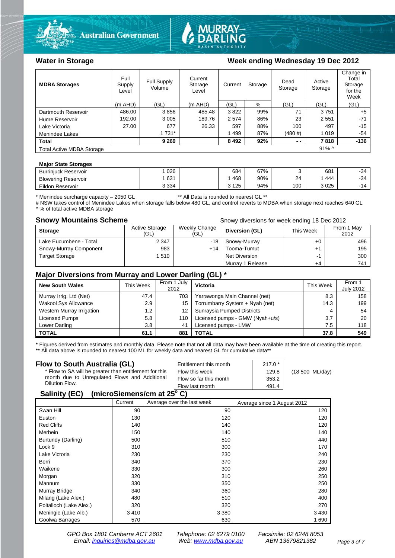



#### Water in Storage Week ending Wednesday 19 Dec 2012

| <b>MDBA Storages</b>             | Full<br>Supply<br>Level | Full Supply<br>Volume | Current<br>Storage<br>Level | Current | Storage | Dead<br>Storage | Active<br>Storage | Change in<br>Total<br>Storage<br>for the<br>Week |
|----------------------------------|-------------------------|-----------------------|-----------------------------|---------|---------|-----------------|-------------------|--------------------------------------------------|
|                                  | $(m$ AHD)               | (GL)                  | $(m$ AHD)                   | (GL)    | %       | (GL)            | (GL)              | (GL)                                             |
| Dartmouth Reservoir              | 486.00                  | 3856                  | 485.48                      | 3822    | 99%     | 71              | 3751              | $+5$                                             |
| Hume Reservoir                   | 192.00                  | 3 0 0 5               | 189.76                      | 2 5 7 4 | 86%     | 23              | 2551              | $-71$                                            |
| Lake Victoria                    | 27.00                   | 677                   | 26.33                       | 597     | 88%     | 100             | 497               | $-15$                                            |
| Menindee Lakes                   |                         | 1 731*                |                             | 1499    | 87%     | (480#)          | 1019              | $-54$                                            |
| <b>Total</b>                     |                         | 9 2 6 9               |                             | 8 4 9 2 | 92%     | $ -$            | 7818              | $-136$                                           |
| <b>Total Active MDBA Storage</b> |                         |                       |                             |         |         |                 | $91\%$ ^          |                                                  |

#### **Major State Storages**

| <b>Burrinjuck Reservoir</b> | 026     | 684   | <b>S7%</b> |     | 681  | -34   |
|-----------------------------|---------|-------|------------|-----|------|-------|
| <b>Blowering Reservoir</b>  | 631     | 468   | 90%        | 24  | 444  | $-34$ |
| Eildon Reservoir            | 3 3 3 4 | 3 125 | 94%        | 100 | 3025 | $-14$ |

\* Menindee surcharge capacity – 2050 GL \*\* All Data is rounded to nearest GL \*\*

# NSW takes control of Menindee Lakes when storage falls below 480 GL, and control reverts to MDBA when storage next reaches 640 GL A % of total active MDBA storage

**Snowy Mountains Scheme Snowy diversions for week ending 18 Dec 2012** 

| <b>Storage</b>         | <b>Active Storage</b><br>(GL) | Weekly Change<br>(GL) | Diversion (GL)       | This Week | From 1 May<br>2012 |
|------------------------|-------------------------------|-----------------------|----------------------|-----------|--------------------|
| Lake Eucumbene - Total | 2 3 4 7                       | $-18$                 | Snowy-Murray         | +0        | 496                |
| Snowy-Murray Component | 983                           | +14                   | Tooma-Tumut          | +1        | 195                |
| <b>Target Storage</b>  | 1510                          |                       | <b>Net Diversion</b> |           | 300                |
|                        |                               |                       | Murray 1 Release     | +4        | 741                |

#### **Major Diversions from Murray and Lower Darling (GL) \***

| <b>New South Wales</b>    | This Week | From 1 July<br>2012 | Victoria                        | This Week | From 1<br><b>July 2012</b> |
|---------------------------|-----------|---------------------|---------------------------------|-----------|----------------------------|
| Murray Irrig. Ltd (Net)   | 47.4      | 703                 | Yarrawonga Main Channel (net)   | 8.3       | 158                        |
| Wakool Sys Allowance      | 2.9       | 15                  | Torrumbarry System + Nyah (net) | 14.3      | 199                        |
| Western Murray Irrigation | 1.2       | 12                  | Sunraysia Pumped Districts      | 4         | 54                         |
| Licensed Pumps            | 5.8       | 110                 | Licensed pumps - GMW (Nyah+u/s) | 3.7       | 20                         |
| Lower Darling             | 3.8       | 41                  | Licensed pumps - LMW            | 7.5       | 118                        |
| <b>TOTAL</b>              | 61.1      | 881                 | TOTAL                           | 37.8      | 549                        |

\* Figures derived from estimates and monthly data. Please note that not all data may have been available at the time of creating this report.

\*\* All data above is rounded to nearest 100 ML for weekly data and nearest GL for cumulative data\*\*

| Flow to South Australia (GL)                              | Entitlement this month | $217.0*$ |                 |
|-----------------------------------------------------------|------------------------|----------|-----------------|
|                                                           |                        |          |                 |
| * Flow to SA will be greater than entitlement for this    | Flow this week         | 129.8    | (18 500 ML/day) |
| month due to Unregulated Flows and Additional             | Flow so far this month | 353.2    |                 |
| Dilution Flow.                                            | Flow last month        | 491.4    |                 |
| $\mathbf{A}$ , $\mathbf{B}$ , $\mathbf{A}$ , $\mathbf{B}$ |                        |          |                 |

#### **Salinity (EC) (microSiemens/cm at 25o C)**

|                         | Current | Average over the last week | Average since 1 August 2012 |
|-------------------------|---------|----------------------------|-----------------------------|
| Swan Hill               | 90      | 90                         | 120                         |
| Euston                  | 130     | 120                        | 120                         |
| <b>Red Cliffs</b>       | 140     | 140                        | 120                         |
| Merbein                 | 150     | 140                        | 140                         |
| Burtundy (Darling)      | 500     | 510                        | 440                         |
| Lock 9                  | 310     | 300                        | 170                         |
| Lake Victoria           | 230     | 230                        | 240                         |
| Berri                   | 340     | 370                        | 230                         |
| Waikerie                | 330     | 300                        | 260                         |
| Morgan                  | 320     | 310                        | 250                         |
| Mannum                  | 330     | 350                        | 250                         |
| Murray Bridge           | 340     | 360                        | 280                         |
| Milang (Lake Alex.)     | 480     | 510                        | 400                         |
| Poltalloch (Lake Alex.) | 320     | 320                        | 270                         |
| Meningie (Lake Alb.)    | 3410    | 3 3 8 0                    | 3 4 3 0                     |
| Goolwa Barrages         | 570     | 630                        | 1 690                       |

*GPO Box 1801 Canberra ACT 2601 Telephone: 02 6279 0100 Facsimile: 02 6248 8053 Email: [inquiries@mdba.gov.au](mailto:inquiries@mdba.gov.au) Web: [www.mdba.gov.au](http://www.mdba.gov.au/) ABN 13679821382 Page 3 of 7*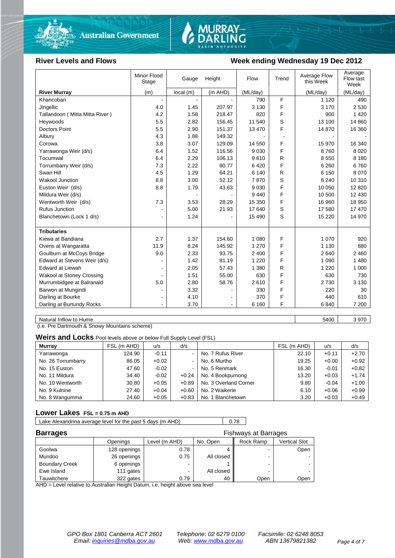



#### **River Levels and Flows Week ending Wednesday 19 Dec 2012**

| (m AHD)<br>(ML/day)<br><b>River Murray</b><br>(m)<br>local (m)<br>(ML/day)<br>(ML/day)<br>F<br>1 1 2 0<br>Khancoban<br>790<br>490<br>$\mathbf{r}$<br>F<br>4.0<br>1.45<br>207.97<br>3 1 3 0<br>3 1 7 0<br>2 5 3 0<br>Jingellic<br>F<br>4.2<br>Tallandoon (Mitta Mitta River)<br>1.58<br>218.47<br>820<br>900<br>1420<br>S<br>5.5<br>2.82<br>156.45<br>11 540<br>13 100<br>14 860<br>Heywoods<br>F<br><b>Doctors Point</b><br>5.5<br>2.90<br>151.37<br>13 470<br>16 360<br>14 870<br>4.3<br>1.88<br>149.32 |
|----------------------------------------------------------------------------------------------------------------------------------------------------------------------------------------------------------------------------------------------------------------------------------------------------------------------------------------------------------------------------------------------------------------------------------------------------------------------------------------------------------|
|                                                                                                                                                                                                                                                                                                                                                                                                                                                                                                          |
|                                                                                                                                                                                                                                                                                                                                                                                                                                                                                                          |
|                                                                                                                                                                                                                                                                                                                                                                                                                                                                                                          |
|                                                                                                                                                                                                                                                                                                                                                                                                                                                                                                          |
|                                                                                                                                                                                                                                                                                                                                                                                                                                                                                                          |
|                                                                                                                                                                                                                                                                                                                                                                                                                                                                                                          |
| Albury                                                                                                                                                                                                                                                                                                                                                                                                                                                                                                   |
| 3.07<br>F<br>16 340<br>3.8<br>129.09<br>14 550<br>15 970<br>Corowa                                                                                                                                                                                                                                                                                                                                                                                                                                       |
| F<br>1.52<br>116.56<br>9 0 3 0<br>8760<br>8 0 2 0<br>Yarrawonga Weir (d/s)<br>6.4                                                                                                                                                                                                                                                                                                                                                                                                                        |
| Tocumwal<br>2.29<br>106.13<br>9610<br>R<br>8 1 8 0<br>6.4<br>8 5 5 0                                                                                                                                                                                                                                                                                                                                                                                                                                     |
| F<br>Torrumbarry Weir (d/s)<br>7.3<br>2.22<br>80.77<br>6420<br>6760<br>6 2 6 0                                                                                                                                                                                                                                                                                                                                                                                                                           |
| 4.5<br>1.29<br>64.21<br>R<br>8 0 7 0<br>Swan Hill<br>6 140<br>6 1 5 0                                                                                                                                                                                                                                                                                                                                                                                                                                    |
| S<br>8.8<br>3.00<br>52.12<br>10 310<br>Wakool Junction<br>7870<br>8 2 4 0                                                                                                                                                                                                                                                                                                                                                                                                                                |
| F<br>Euston Weir (d/s)<br>8.8<br>1.79<br>43.63<br>9 0 3 0<br>10 050<br>12 8 20                                                                                                                                                                                                                                                                                                                                                                                                                           |
| F<br>Mildura Weir (d/s)<br>10 500<br>12 4 30<br>9440                                                                                                                                                                                                                                                                                                                                                                                                                                                     |
| F<br>7.3<br>3.53<br>28.29<br>15 350<br>18 950<br>Wentworth Weir (d/s)<br>16 960                                                                                                                                                                                                                                                                                                                                                                                                                          |
| S<br><b>Rufus Junction</b><br>5.00<br>17 470<br>21.93<br>17 640<br>17 580                                                                                                                                                                                                                                                                                                                                                                                                                                |
| S<br>1.24<br>14 970<br>Blanchetown (Lock 1 d/s)<br>15 490<br>15 2 20<br>۰                                                                                                                                                                                                                                                                                                                                                                                                                                |
|                                                                                                                                                                                                                                                                                                                                                                                                                                                                                                          |
| <b>Tributaries</b>                                                                                                                                                                                                                                                                                                                                                                                                                                                                                       |
| 2.7<br>1.37<br>F<br>Kiewa at Bandiana<br>154.60<br>1 0 8 0<br>1 0 7 0<br>920                                                                                                                                                                                                                                                                                                                                                                                                                             |
| F<br>11.9<br>8.24<br>145.92<br>1 270<br>1 1 3 0<br>880<br>Ovens at Wangaratta                                                                                                                                                                                                                                                                                                                                                                                                                            |
| 93.75<br>F<br>Goulburn at McCoys Bridge<br>9.0<br>2.33<br>2 400<br>2640<br>2 4 6 0                                                                                                                                                                                                                                                                                                                                                                                                                       |
| F<br>Edward at Stevens Weir (d/s)<br>1.42<br>81.19<br>1 2 2 0<br>1 0 9 0<br>1 4 8 0                                                                                                                                                                                                                                                                                                                                                                                                                      |
| <b>Edward at Liewah</b><br>2.05<br>57.43<br>1 3 8 0<br>R<br>1 0 0 0<br>1 2 2 0                                                                                                                                                                                                                                                                                                                                                                                                                           |
| F<br><b>Wakool at Stoney Crossing</b><br>1.51<br>55.00<br>630<br>630<br>730                                                                                                                                                                                                                                                                                                                                                                                                                              |
| F<br>Murrumbidgee at Balranald<br>5.0<br>2.80<br>58.76<br>2610<br>2 7 3 0<br>3 1 3 0                                                                                                                                                                                                                                                                                                                                                                                                                     |
| F<br>Barwon at Mungindi<br>3.32<br>330<br>220<br>30                                                                                                                                                                                                                                                                                                                                                                                                                                                      |
| F<br>Darling at Bourke<br>4.10<br>370<br>440<br>610<br>$\blacksquare$                                                                                                                                                                                                                                                                                                                                                                                                                                    |
| F<br>Darling at Burtundy Rocks<br>3.70<br>6 1 6 0<br>6840<br>7 200<br>$\blacksquare$<br>$\blacksquare$                                                                                                                                                                                                                                                                                                                                                                                                   |

Natural Inflow to Hume 3970

(i.e. Pre Dartmouth & Snowy Mountains scheme)

**Weirs and Locks** Pool levels above or below Full Supply Level (FSL)

| <b>Murray</b>      | FSL (m AHD) | u/s     | d/s                      |                       | FSL (m AHD) | u/s     | d/s     |
|--------------------|-------------|---------|--------------------------|-----------------------|-------------|---------|---------|
| Yarrawonga         | 124.90      | $-0.11$ | $\overline{\phantom{a}}$ | No. 7 Rufus River     | 22.10       | $+0.11$ | $+2.70$ |
| No. 26 Torrumbarry | 86.05       | $+0.02$ | $\blacksquare$           | No. 6 Murtho          | 19.25       | $+0.00$ | $+0.92$ |
| No. 15 Euston      | 47.60       | $-0.02$ | $\blacksquare$           | No. 5 Renmark         | 16.30       | $-0.01$ | $+0.82$ |
| No. 11 Mildura     | 34.40       | $-0.02$ | $+0.24$                  | No. 4 Bookpurnong     | 13.20       | $+0.03$ | $+1.74$ |
| No. 10 Wentworth   | 30.80       | $+0.05$ | $+0.89$                  | No. 3 Overland Corner | 9.80        | $-0.04$ | $+1.00$ |
| No. 9 Kulnine      | 27.40       | $+0.04$ | $+0.60$                  | No. 2 Waikerie        | 6.10        | $+0.06$ | $+0.99$ |
| No. 8 Wangumma     | 24.60       | $+0.05$ | $+0.83$                  | No. 1 Blanchetown     | 3.20        | $+0.03$ | $+0.49$ |

#### **Lower Lakes FSL = 0.75 m AHD**

Lake Alexandrina average level for the past 5 days (m AHD) 0.78

| <b>Barrages</b>       |              |               |            | Fishways at Barrages |                      |
|-----------------------|--------------|---------------|------------|----------------------|----------------------|
|                       | Openings     | Level (m AHD) | No. Open   | Rock Ramp            | <b>Vertical Slot</b> |
| Goolwa                | 128 openings | 0.78          |            |                      | Open                 |
| Mundoo                | 26 openings  | 0.75          | All closed |                      |                      |
| <b>Boundary Creek</b> | 6 openings   | -             |            |                      |                      |
| Ewe Island            | 111 gates    | -             | All closed |                      |                      |
| Tauwitchere           | 322 gates    | 0.79          | 40         | Open                 | Open                 |

AHD = Level relative to Australian Height Datum, i.e. height above sea level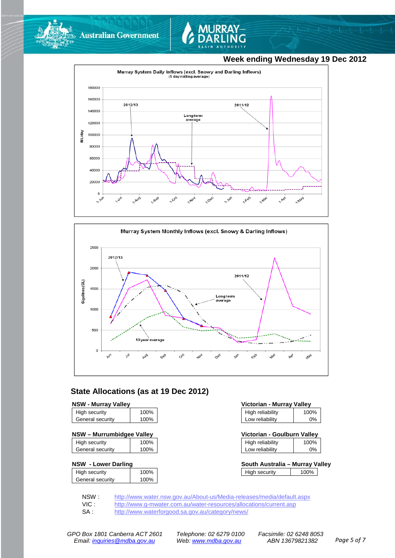



### **Week ending Wednesday 19 Dec 2012**





### **State Allocations (as at 19 Dec 2012)**

| <b>NSW - Murray Valley</b> |  |
|----------------------------|--|
|----------------------------|--|

| High security    | 100% |
|------------------|------|
| General security | 100% |
|                  |      |

| NSW - Murrumbidgee Valley | Victorian - Goulburn Valley |  |
|---------------------------|-----------------------------|--|
|                           |                             |  |

| High security    | 100% |
|------------------|------|
| General security | 100% |

#### **NSW - Lower Darling**

| High security    | 100% |
|------------------|------|
| General security | 100% |
|                  |      |

| <b>NSW - Murray Valley</b><br>Victorian - Murray Valley |      |                  |      |
|---------------------------------------------------------|------|------------------|------|
| High security                                           | 100% | High reliability | 100% |
| General security                                        | 100% | Low reliability  | 0%   |

| Victorian - Goulburn Valley |                  |      |
|-----------------------------|------------------|------|
|                             | High reliability | 100% |

| Low reliability | 0% |  |
|-----------------|----|--|
|                 |    |  |

| South Australia – Murray Valley |      |  |
|---------------------------------|------|--|
| High security                   | 100% |  |

NSW : <http://www.water.nsw.gov.au/About-us/Media-releases/media/default.aspx><br>VIC : http://www.g-mwater.com.au/water-resources/allocations/current.asp

VIC : <http://www.g-mwater.com.au/water-resources/allocations/current.asp><br>SA : http://www.waterforgood.sa.gov.au/category/news/

<http://www.waterforgood.sa.gov.au/category/news/>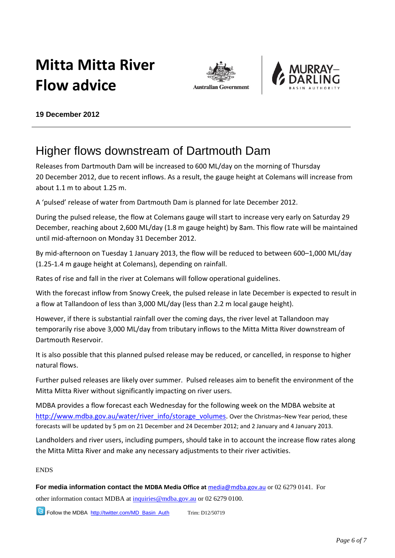# **Mitta Mitta River Flow advice**





**19 December 2012**

## Higher flows downstream of Dartmouth Dam

Releases from Dartmouth Dam will be increased to 600 ML/day on the morning of Thursday 20 December 2012, due to recent inflows. As a result, the gauge height at Colemans will increase from about 1.1 m to about 1.25 m.

A 'pulsed' release of water from Dartmouth Dam is planned for late December 2012.

During the pulsed release, the flow at Colemans gauge will start to increase very early on Saturday 29 December, reaching about 2,600 ML/day (1.8 m gauge height) by 8am. This flow rate will be maintained until mid-afternoon on Monday 31 December 2012.

By mid-afternoon on Tuesday 1 January 2013, the flow will be reduced to between 600–1,000 ML/day (1.25-1.4 m gauge height at Colemans), depending on rainfall.

Rates of rise and fall in the river at Colemans will follow operational guidelines.

With the forecast inflow from Snowy Creek, the pulsed release in late December is expected to result in a flow at Tallandoon of less than 3,000 ML/day (less than 2.2 m local gauge height).

However, if there is substantial rainfall over the coming days, the river level at Tallandoon may temporarily rise above 3,000 ML/day from tributary inflows to the Mitta Mitta River downstream of Dartmouth Reservoir.

It is also possible that this planned pulsed release may be reduced, or cancelled, in response to higher natural flows.

Further pulsed releases are likely over summer. Pulsed releases aim to benefit the environment of the Mitta Mitta River without significantly impacting on river users.

MDBA provides a flow forecast each Wednesday for the following week on the MDBA website at [http://www.mdba.gov.au/water/river\\_info/storage\\_volumes.](http://www.mdba.gov.au/water/river_info/storage_volumes) Over the Christmas–New Year period, these forecasts will be updated by 5 pm on 21 December and 24 December 2012; and 2 January and 4 January 2013.

Landholders and river users, including pumpers, should take in to account the increase flow rates along the Mitta Mitta River and make any necessary adjustments to their river activities.

ENDS

**For media information contact the MDBA Media Office at** [media@mdba.gov.au](mailto:media@mdba.gov.au) or 02 6279 0141. For

other information contact MDBA at [inquiries@mdba.gov.au](mailto:inquiries@mdba.gov.au) or 02 6279 0100.

**B** Follow the MDBA [http://twitter.com/MD\\_Basin\\_Auth](http://twitter.com/MD_Basin_Auth) Trim: D12/50719